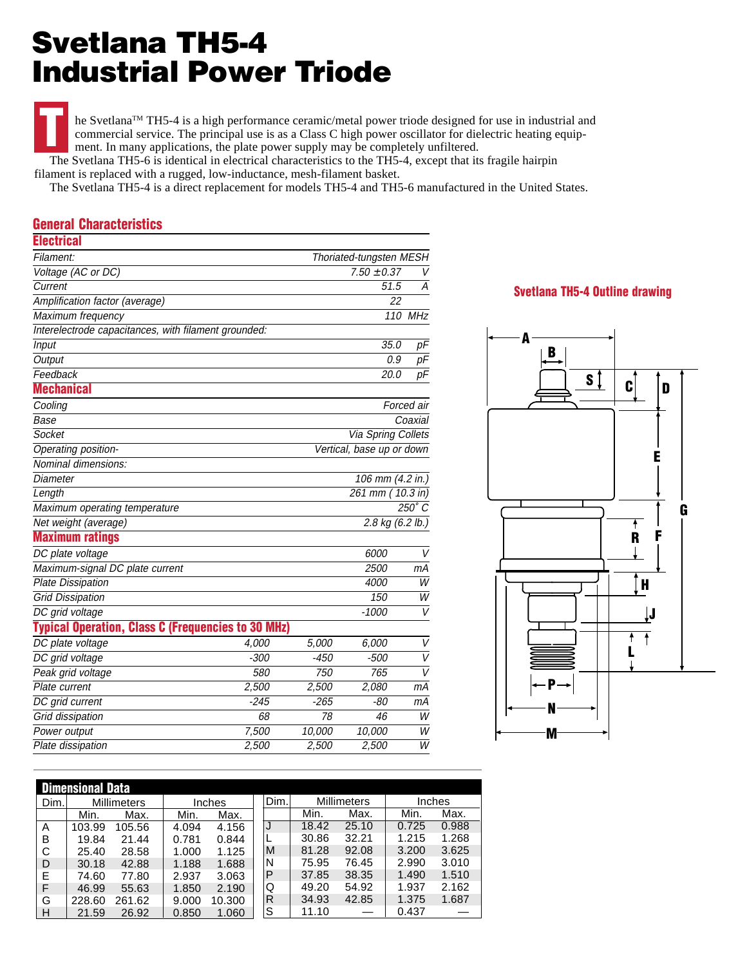## **Svetlana TH5-4 Industrial Power Triode**

he Svetlana™ TH5-4 is a high performance ceramic/metal power triode designed for use in industrial and commercial service. The principal use is as a Class C high power oscillator for dielectric heating equipment. In many applications, the plate power supply may be completely unfiltered. **T**

 The Svetlana TH5-6 is identical in electrical characteristics to the TH5-4, except that its fragile hairpin filament is replaced with a rugged, low-inductance, mesh-filament basket.

The Svetlana TH5-4 is a direct replacement for models TH5-4 and TH5-6 manufactured in the United States.

## **General Characteristics**

| <b>Electrical</b>                                         |        |                           |                            |                |  |  |
|-----------------------------------------------------------|--------|---------------------------|----------------------------|----------------|--|--|
| Filament:                                                 |        |                           | Thoriated-tungsten MESH    |                |  |  |
| Voltage (AC or DC)                                        |        | $7.50 \pm 0.37$<br>V      |                            |                |  |  |
| Current                                                   |        | 51.5                      |                            |                |  |  |
| Amplification factor (average)                            |        |                           | 22                         |                |  |  |
| Maximum frequency                                         |        |                           | 110 MHz                    |                |  |  |
| Interelectrode capacitances, with filament grounded:      |        |                           |                            |                |  |  |
| Input                                                     |        |                           | 35.0                       | pF             |  |  |
| Output                                                    |        |                           | 0.9                        | pF             |  |  |
| Feedback                                                  |        |                           | 20.0                       | pF             |  |  |
| Mechanical                                                |        |                           |                            |                |  |  |
| Cooling                                                   |        |                           |                            | Forced air     |  |  |
| Base                                                      |        |                           |                            | Coaxial        |  |  |
| Socket                                                    |        | Via Spring Collets        |                            |                |  |  |
| Operating position-                                       |        | Vertical, base up or down |                            |                |  |  |
| Nominal dimensions:                                       |        |                           |                            |                |  |  |
| Diameter                                                  |        |                           | 106 mm (4.2 in.)           |                |  |  |
| Length                                                    |        | 261 mm                    | $10.3$ in)                 |                |  |  |
| Maximum operating temperature                             |        |                           |                            | $250^\circ C$  |  |  |
| Net weight (average)                                      |        |                           | 2.8 kg $(6.2 \text{ lb.})$ |                |  |  |
| <b>Maximum ratings</b>                                    |        |                           |                            |                |  |  |
| DC plate voltage                                          |        |                           | 6000                       | V              |  |  |
| Maximum-signal DC plate current                           |        |                           | 2500                       | mА             |  |  |
| <b>Plate Dissipation</b>                                  |        |                           | 4000                       | W              |  |  |
| <b>Grid Dissipation</b>                                   |        |                           | 150                        | W              |  |  |
| DC grid voltage                                           |        |                           | $-1000$                    | $\overline{V}$ |  |  |
| <b>Typical Operation, Class C (Frequencies to 30 MHz)</b> |        |                           |                            |                |  |  |
| DC plate voltage                                          | 4,000  | 5,000                     | 6,000                      | V              |  |  |
| DC grid voltage                                           | $-300$ | -450                      | -500                       | $\overline{V}$ |  |  |
| Peak grid voltage                                         | 580    | 750                       | 765                        | $\overline{V}$ |  |  |
| Plate current                                             | 2,500  | 2,500                     | 2,080                      | mА             |  |  |
| DC grid current                                           | $-245$ | $-265$                    | -80                        | mА             |  |  |
| Grid dissipation                                          | 68     | 78                        | 46                         | W              |  |  |
| Power output                                              | 7,500  | 10,000                    | 10,000                     | W              |  |  |
| Plate dissipation                                         | 2,500  | 2,500                     | 2,500                      | $\overline{W}$ |  |  |

## **Svetlana TH5-4 Outline drawing**



| <b>Dimensional Data</b> |                    |        |               |        |      |                    |       |        |       |  |
|-------------------------|--------------------|--------|---------------|--------|------|--------------------|-------|--------|-------|--|
| Dim.                    | <b>Millimeters</b> |        | <b>Inches</b> |        | Dim. | <b>Millimeters</b> |       | Inches |       |  |
|                         | Min.               | Max.   | Min.          | Max.   |      | Min.               | Max.  | Min.   | Max.  |  |
| Α                       | 103.99             | 105.56 | 4.094         | 4.156  | J    | 18.42              | 25.10 | 0.725  | 0.988 |  |
| B                       | 19.84              | 21.44  | 0.781         | 0.844  |      | 30.86              | 32.21 | 1.215  | 1.268 |  |
| С                       | 25.40              | 28.58  | 1.000         | 1.125  | M    | 81.28              | 92.08 | 3.200  | 3.625 |  |
| D                       | 30.18              | 42.88  | 1.188         | 1.688  | N    | 75.95              | 76.45 | 2.990  | 3.010 |  |
| E                       | 74.60              | 77.80  | 2.937         | 3.063  | P    | 37.85              | 38.35 | 1.490  | 1.510 |  |
| F                       | 46.99              | 55.63  | 1.850         | 2.190  | Q    | 49.20              | 54.92 | 1.937  | 2.162 |  |
| G                       | 228.60             | 261.62 | 9.000         | 10.300 | R    | 34.93              | 42.85 | 1.375  | 1.687 |  |
| Н                       | 21.59              | 26.92  | 0.850         | 1.060  | S    | 11.10              |       | 0.437  |       |  |